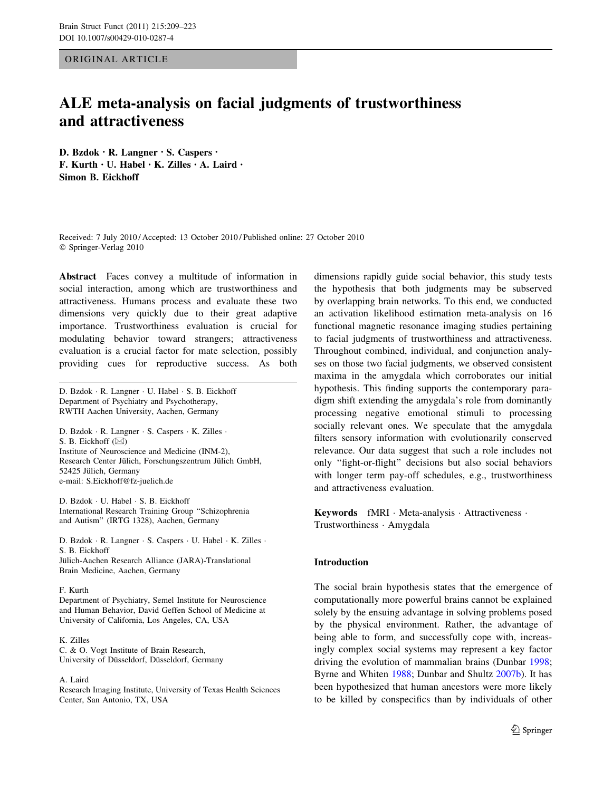ORIGINAL ARTICLE

# ALE meta-analysis on facial judgments of trustworthiness and attractiveness

D. Bzdok • R. Langner • S. Caspers • F. Kurth • U. Habel • K. Zilles • A. Laird • Simon B. Eickhoff

Received: 7 July 2010 / Accepted: 13 October 2010 / Published online: 27 October 2010  $©$  Springer-Verlag 2010

Abstract Faces convey a multitude of information in social interaction, among which are trustworthiness and attractiveness. Humans process and evaluate these two dimensions very quickly due to their great adaptive importance. Trustworthiness evaluation is crucial for modulating behavior toward strangers; attractiveness evaluation is a crucial factor for mate selection, possibly providing cues for reproductive success. As both

D. Bzdok · R. Langner · U. Habel · S. B. Eickhoff Department of Psychiatry and Psychotherapy, RWTH Aachen University, Aachen, Germany

D. Bzdok · R. Langner · S. Caspers · K. Zilles · S. B. Eickhoff  $(\boxtimes)$ Institute of Neuroscience and Medicine (INM-2), Research Center Jülich, Forschungszentrum Jülich GmbH, 52425 Jülich, Germany e-mail: S.Eickhoff@fz-juelich.de

D. Bzdok · U. Habel · S. B. Eickhoff International Research Training Group ''Schizophrenia and Autism'' (IRTG 1328), Aachen, Germany

D. Bzdok · R. Langner · S. Caspers · U. Habel · K. Zilles · S. B. Eickhoff Jülich-Aachen Research Alliance (JARA)-Translational Brain Medicine, Aachen, Germany

#### F. Kurth

Department of Psychiatry, Semel Institute for Neuroscience and Human Behavior, David Geffen School of Medicine at University of California, Los Angeles, CA, USA

#### K. Zilles

C. & O. Vogt Institute of Brain Research, University of Düsseldorf, Düsseldorf, Germany

### A. Laird

Research Imaging Institute, University of Texas Health Sciences Center, San Antonio, TX, USA

dimensions rapidly guide social behavior, this study tests the hypothesis that both judgments may be subserved by overlapping brain networks. To this end, we conducted an activation likelihood estimation meta-analysis on 16 functional magnetic resonance imaging studies pertaining to facial judgments of trustworthiness and attractiveness. Throughout combined, individual, and conjunction analyses on those two facial judgments, we observed consistent maxima in the amygdala which corroborates our initial hypothesis. This finding supports the contemporary paradigm shift extending the amygdala's role from dominantly processing negative emotional stimuli to processing socially relevant ones. We speculate that the amygdala filters sensory information with evolutionarily conserved relevance. Our data suggest that such a role includes not only ''fight-or-flight'' decisions but also social behaviors with longer term pay-off schedules, e.g., trustworthiness and attractiveness evaluation.

**Keywords**  $fMRI \cdot Meta-analysis \cdot Attractiveness \cdot$ Trustworthiness ! Amygdala

# Introduction

The social brain hypothesis states that the emergence of computationally more powerful brains cannot be explained solely by the ensuing advantage in solving problems posed by the physical environment. Rather, the advantage of being able to form, and successfully cope with, increasingly complex social systems may represent a key factor driving the evolution of mammalian brains (Dunbar 1998; Byrne and Whiten 1988; Dunbar and Shultz 2007b). It has been hypothesized that human ancestors were more likely to be killed by conspecifics than by individuals of other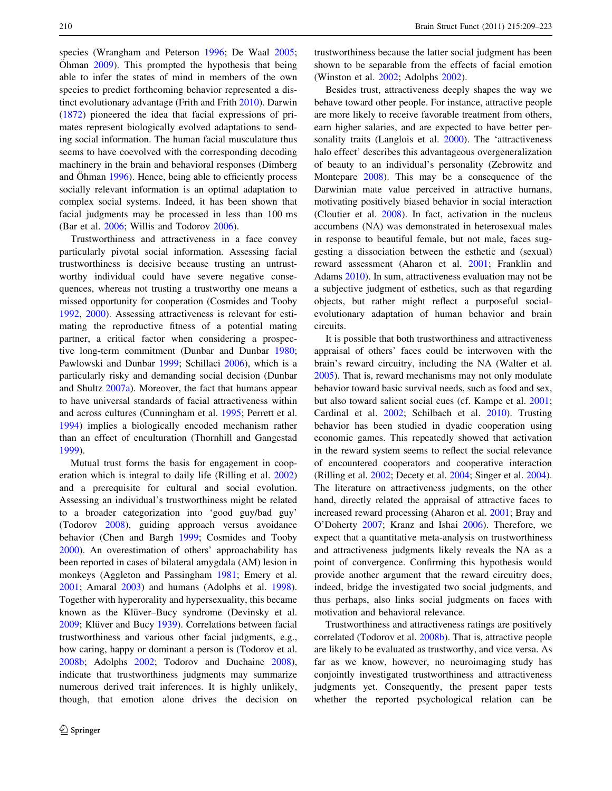species (Wrangham and Peterson 1996; De Waal 2005;  $\ddot{\text{O}}$ hman 2009). This prompted the hypothesis that being able to infer the states of mind in members of the own species to predict forthcoming behavior represented a distinct evolutionary advantage (Frith and Frith 2010). Darwin (1872) pioneered the idea that facial expressions of primates represent biologically evolved adaptations to sending social information. The human facial musculature thus seems to have coevolved with the corresponding decoding machinery in the brain and behavioral responses (Dimberg and Öhman  $1996$ ). Hence, being able to efficiently process socially relevant information is an optimal adaptation to complex social systems. Indeed, it has been shown that facial judgments may be processed in less than 100 ms (Bar et al. 2006; Willis and Todorov 2006).

Trustworthiness and attractiveness in a face convey particularly pivotal social information. Assessing facial trustworthiness is decisive because trusting an untrustworthy individual could have severe negative consequences, whereas not trusting a trustworthy one means a missed opportunity for cooperation (Cosmides and Tooby 1992, 2000). Assessing attractiveness is relevant for estimating the reproductive fitness of a potential mating partner, a critical factor when considering a prospective long-term commitment (Dunbar and Dunbar 1980; Pawlowski and Dunbar 1999; Schillaci 2006), which is a particularly risky and demanding social decision (Dunbar and Shultz 2007a). Moreover, the fact that humans appear to have universal standards of facial attractiveness within and across cultures (Cunningham et al. 1995; Perrett et al. 1994) implies a biologically encoded mechanism rather than an effect of enculturation (Thornhill and Gangestad 1999).

Mutual trust forms the basis for engagement in cooperation which is integral to daily life (Rilling et al. 2002) and a prerequisite for cultural and social evolution. Assessing an individual's trustworthiness might be related to a broader categorization into 'good guy/bad guy' (Todorov 2008), guiding approach versus avoidance behavior (Chen and Bargh 1999; Cosmides and Tooby 2000). An overestimation of others' approachability has been reported in cases of bilateral amygdala (AM) lesion in monkeys (Aggleton and Passingham 1981; Emery et al. 2001; Amaral 2003) and humans (Adolphs et al. 1998). Together with hyperorality and hypersexuality, this became known as the Klüver–Bucy syndrome (Devinsky et al. 2009; Klüver and Bucy 1939). Correlations between facial trustworthiness and various other facial judgments, e.g., how caring, happy or dominant a person is (Todorov et al. 2008b; Adolphs 2002; Todorov and Duchaine 2008), indicate that trustworthiness judgments may summarize numerous derived trait inferences. It is highly unlikely, though, that emotion alone drives the decision on

trustworthiness because the latter social judgment has been shown to be separable from the effects of facial emotion (Winston et al. 2002; Adolphs 2002).

Besides trust, attractiveness deeply shapes the way we behave toward other people. For instance, attractive people are more likely to receive favorable treatment from others, earn higher salaries, and are expected to have better personality traits (Langlois et al. 2000). The 'attractiveness halo effect' describes this advantageous overgeneralization of beauty to an individual's personality (Zebrowitz and Montepare 2008). This may be a consequence of the Darwinian mate value perceived in attractive humans, motivating positively biased behavior in social interaction (Cloutier et al. 2008). In fact, activation in the nucleus accumbens (NA) was demonstrated in heterosexual males in response to beautiful female, but not male, faces suggesting a dissociation between the esthetic and (sexual) reward assessment (Aharon et al. 2001; Franklin and Adams 2010). In sum, attractiveness evaluation may not be a subjective judgment of esthetics, such as that regarding objects, but rather might reflect a purposeful socialevolutionary adaptation of human behavior and brain circuits.

It is possible that both trustworthiness and attractiveness appraisal of others' faces could be interwoven with the brain's reward circuitry, including the NA (Walter et al. 2005). That is, reward mechanisms may not only modulate behavior toward basic survival needs, such as food and sex, but also toward salient social cues (cf. Kampe et al. 2001; Cardinal et al. 2002; Schilbach et al. 2010). Trusting behavior has been studied in dyadic cooperation using economic games. This repeatedly showed that activation in the reward system seems to reflect the social relevance of encountered cooperators and cooperative interaction (Rilling et al. 2002; Decety et al. 2004; Singer et al. 2004). The literature on attractiveness judgments, on the other hand, directly related the appraisal of attractive faces to increased reward processing (Aharon et al. 2001; Bray and O'Doherty 2007; Kranz and Ishai 2006). Therefore, we expect that a quantitative meta-analysis on trustworthiness and attractiveness judgments likely reveals the NA as a point of convergence. Confirming this hypothesis would provide another argument that the reward circuitry does, indeed, bridge the investigated two social judgments, and thus perhaps, also links social judgments on faces with motivation and behavioral relevance.

Trustworthiness and attractiveness ratings are positively correlated (Todorov et al. 2008b). That is, attractive people are likely to be evaluated as trustworthy, and vice versa. As far as we know, however, no neuroimaging study has conjointly investigated trustworthiness and attractiveness judgments yet. Consequently, the present paper tests whether the reported psychological relation can be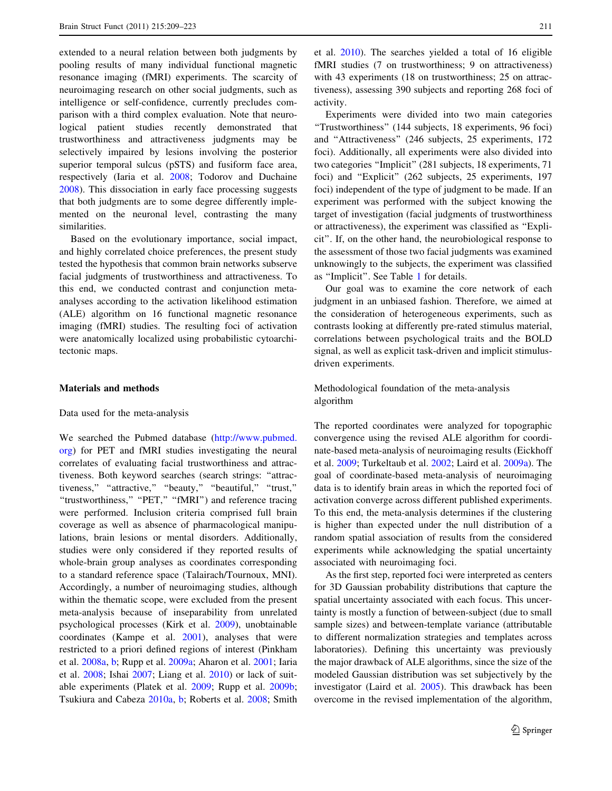extended to a neural relation between both judgments by pooling results of many individual functional magnetic resonance imaging (fMRI) experiments. The scarcity of neuroimaging research on other social judgments, such as intelligence or self-confidence, currently precludes comparison with a third complex evaluation. Note that neurological patient studies recently demonstrated that trustworthiness and attractiveness judgments may be selectively impaired by lesions involving the posterior superior temporal sulcus (pSTS) and fusiform face area, respectively (Iaria et al. 2008; Todorov and Duchaine 2008). This dissociation in early face processing suggests that both judgments are to some degree differently implemented on the neuronal level, contrasting the many similarities.

Based on the evolutionary importance, social impact, and highly correlated choice preferences, the present study tested the hypothesis that common brain networks subserve facial judgments of trustworthiness and attractiveness. To this end, we conducted contrast and conjunction metaanalyses according to the activation likelihood estimation (ALE) algorithm on 16 functional magnetic resonance imaging (fMRI) studies. The resulting foci of activation were anatomically localized using probabilistic cytoarchitectonic maps.

# Materials and methods

#### Data used for the meta-analysis

We searched the Pubmed database (http://www.pubmed. org) for PET and fMRI studies investigating the neural correlates of evaluating facial trustworthiness and attractiveness. Both keyword searches (search strings: ''attractiveness," "attractive," "beauty," "beautiful," "trust," "trustworthiness," "PET," "fMRI") and reference tracing were performed. Inclusion criteria comprised full brain coverage as well as absence of pharmacological manipulations, brain lesions or mental disorders. Additionally, studies were only considered if they reported results of whole-brain group analyses as coordinates corresponding to a standard reference space (Talairach/Tournoux, MNI). Accordingly, a number of neuroimaging studies, although within the thematic scope, were excluded from the present meta-analysis because of inseparability from unrelated psychological processes (Kirk et al. 2009), unobtainable coordinates (Kampe et al. 2001), analyses that were restricted to a priori defined regions of interest (Pinkham et al. 2008a, b; Rupp et al. 2009a; Aharon et al. 2001; Iaria et al. 2008; Ishai 2007; Liang et al. 2010) or lack of suitable experiments (Platek et al. 2009; Rupp et al. 2009b; Tsukiura and Cabeza 2010a, b; Roberts et al. 2008; Smith et al. 2010). The searches yielded a total of 16 eligible fMRI studies (7 on trustworthiness; 9 on attractiveness) with 43 experiments (18 on trustworthiness; 25 on attractiveness), assessing 390 subjects and reporting 268 foci of activity.

Experiments were divided into two main categories ''Trustworthiness'' (144 subjects, 18 experiments, 96 foci) and ''Attractiveness'' (246 subjects, 25 experiments, 172 foci). Additionally, all experiments were also divided into two categories ''Implicit'' (281 subjects, 18 experiments, 71 foci) and ''Explicit'' (262 subjects, 25 experiments, 197 foci) independent of the type of judgment to be made. If an experiment was performed with the subject knowing the target of investigation (facial judgments of trustworthiness or attractiveness), the experiment was classified as ''Explicit''. If, on the other hand, the neurobiological response to the assessment of those two facial judgments was examined unknowingly to the subjects, the experiment was classified as ''Implicit''. See Table 1 for details.

Our goal was to examine the core network of each judgment in an unbiased fashion. Therefore, we aimed at the consideration of heterogeneous experiments, such as contrasts looking at differently pre-rated stimulus material, correlations between psychological traits and the BOLD signal, as well as explicit task-driven and implicit stimulusdriven experiments.

Methodological foundation of the meta-analysis algorithm

The reported coordinates were analyzed for topographic convergence using the revised ALE algorithm for coordinate-based meta-analysis of neuroimaging results (Eickhoff et al. 2009; Turkeltaub et al. 2002; Laird et al. 2009a). The goal of coordinate-based meta-analysis of neuroimaging data is to identify brain areas in which the reported foci of activation converge across different published experiments. To this end, the meta-analysis determines if the clustering is higher than expected under the null distribution of a random spatial association of results from the considered experiments while acknowledging the spatial uncertainty associated with neuroimaging foci.

As the first step, reported foci were interpreted as centers for 3D Gaussian probability distributions that capture the spatial uncertainty associated with each focus. This uncertainty is mostly a function of between-subject (due to small sample sizes) and between-template variance (attributable to different normalization strategies and templates across laboratories). Defining this uncertainty was previously the major drawback of ALE algorithms, since the size of the modeled Gaussian distribution was set subjectively by the investigator (Laird et al. 2005). This drawback has been overcome in the revised implementation of the algorithm,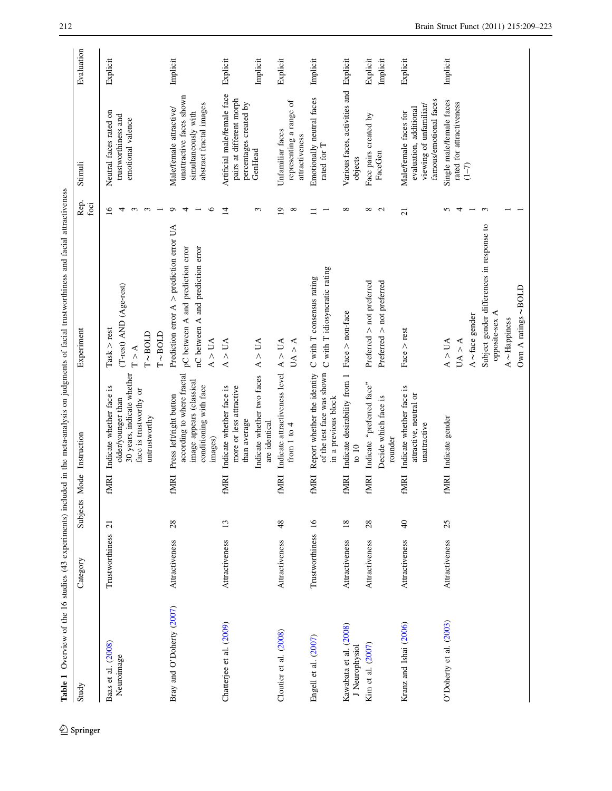|                                          |                 |                 |             |                                                                                                                         | Table 1 Overview of the 16 studies (43 experiments) included in the meta-analysis on judgments of facial trustworthiness and facial attractiveness |                                                                              |                                                                                                       |                      |
|------------------------------------------|-----------------|-----------------|-------------|-------------------------------------------------------------------------------------------------------------------------|----------------------------------------------------------------------------------------------------------------------------------------------------|------------------------------------------------------------------------------|-------------------------------------------------------------------------------------------------------|----------------------|
| Study                                    | Category        | Subjects        |             | Mode Instruction                                                                                                        | Experiment                                                                                                                                         | Rep.<br>foci                                                                 | Stimuli                                                                                               | Evaluation           |
| Baas et al. (2008)<br>Neuroimage         | Trustworthiness | $\overline{c}$  | fMRI        | 30 years, indicate whether<br>Indicate whether face is<br>face is trustworthy or<br>older/younger than<br>untrustworthy | (T-rest) AND (Age-rest)<br>Task > rest<br>$T \sim BOLD$<br>$T \sim BOLD$<br>$\Gamma > \Lambda$                                                     | $\overline{16}$<br>$\epsilon$<br>$\epsilon$<br>4<br>$\overline{\phantom{0}}$ | Neutral faces rated on<br>trustworthiness and<br>emotional valence                                    | Explicit             |
| Bray and O'Doherty (2007)                | Attractiveness  | 28              | fMRI        | according to where fractal<br>image appears (classical<br>conditioning with face<br>Press left/right button<br>images)  | Prediction error $A >$ prediction error UA<br>pC between A and prediction error<br>nC between A and prediction error<br>A > UA                     | $\circ$<br>4<br>७                                                            | unattractive faces shown<br>abstract fractal images<br>Male/female attractive/<br>simultaneously with | Implicit             |
| Chatterjee et al. (2009)                 | Attractiveness  | 13              | fmri        | Indicate whether two faces<br>more or less attractive<br>Indicate whether face is<br>than average                       | $>$ UA<br>A > UA<br>$\prec$                                                                                                                        | ᅺ<br>$\epsilon$                                                              | Artificial male/female face<br>pairs at different morph<br>percentages created by<br>GenHead          | Explicit<br>Implicit |
| Cloutier et al. (2008)                   | Attractiveness  | 48              | fMRI        | Indicate attractiveness level<br>are identical<br>from $1$ to $4$                                                       | A > UA<br>$\mathcal{A} \geq \mathcal{A}$                                                                                                           | $\overline{9}$<br>$^{\circ}$                                                 | representing a range of<br>Unfamiliar faces<br>attractiveness                                         | Explicit             |
| Engell et al. (2007)                     | Trustworthiness | 16              | <b>EMRI</b> | of the test face was shown<br>Report whether the identity<br>in a previous block                                        | C with T idiosyncratic rating<br>C with T consensus rating                                                                                         | $\Box$                                                                       | Emotionally neutral faces<br>rated for T                                                              | Implicit             |
| Kawabata et al. (2008)<br>J Neurophysiol | Attractiveness  | $\overline{18}$ | <b>EMRI</b> | Indicate desirability from 1<br>$\frac{10}{2}$                                                                          | Face $>$ non-face                                                                                                                                  | ${}^{\circ}$                                                                 | Various faces, activities and Explicit<br>objects                                                     |                      |
| Kim et al. (2007)                        | Attractiveness  | 28              | <b>EMRI</b> | Indicate "preferred face"<br>Decide which face is<br>rounder                                                            | Preferred $>$ not preferred<br>Preferred $>$ not preferred                                                                                         | ${}^{\circ}$<br>$\sim$                                                       | Face pairs created by<br>FaceGen                                                                      | Explicit<br>Implicit |
| Kranz and Ishai (2006)                   | Attractiveness  | $\Theta$        | fMRI        | Indicate whether face is<br>attractive, neutral or<br>unattractive                                                      | Face > rest                                                                                                                                        | $\overline{21}$                                                              | famous/emotional faces<br>viewing of unfamiliar/<br>evaluation, additional<br>Male/female faces for   | Explicit             |
| O'Doherty et al. (2003)                  | Attractiveness  | 25              |             | fMRI Indicate gender                                                                                                    | A > UA<br>$\mathsf{UA} > \mathsf{A}$                                                                                                               | 5<br>4                                                                       | Single male/female faces<br>rated for attractiveness<br>$(1 - 7)$                                     | Implicit             |
|                                          |                 |                 |             |                                                                                                                         | Subject gender differences in response to<br>opposite-sex A<br>$A \sim$ face gender                                                                | $\mathfrak{c}$                                                               |                                                                                                       |                      |
|                                          |                 |                 |             |                                                                                                                         | Own A ratings $\sim$ BOLD<br>$A \sim$ Happiness                                                                                                    |                                                                              |                                                                                                       |                      |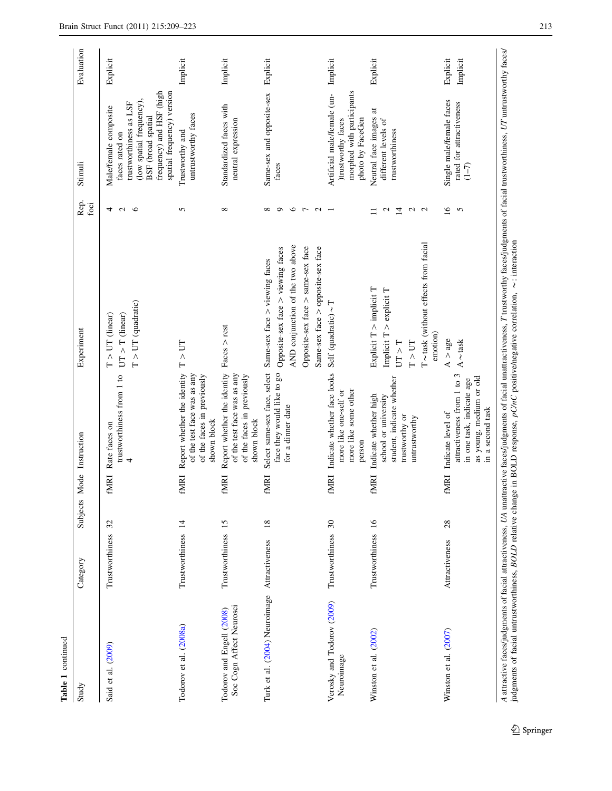| Table 1 continued                                                |                    |                 |             |                                                                                                                             |                                                                                                                                                                                    |                                                                 |                                                                                                                                                                               |                      |
|------------------------------------------------------------------|--------------------|-----------------|-------------|-----------------------------------------------------------------------------------------------------------------------------|------------------------------------------------------------------------------------------------------------------------------------------------------------------------------------|-----------------------------------------------------------------|-------------------------------------------------------------------------------------------------------------------------------------------------------------------------------|----------------------|
| Study                                                            | Category           | Subjects        |             | Mode Instruction                                                                                                            | Experiment                                                                                                                                                                         | Rep.<br>foci                                                    | Stimuli                                                                                                                                                                       | Evaluation           |
| Said et al. (2009)                                               | Trustworthiness    | $\mathfrak{L}$  | fMRI        | trustworthiness from 1 to<br>Rate faces on<br>4                                                                             | $T > UT$ (quadratic)<br>$T > UT$ (linear)<br>$UT > T$ (linear)                                                                                                                     | $\circ$<br>4<br>$\mathcal{L}$                                   | frequency) and HSF (high<br>spatial frequency) version<br>(low spatial frequency),<br>trustworthiness as LSF<br>Male/female composite<br>BSF (broad spatial<br>faces rated on | Explicit             |
| Todorov et al. (2008a)                                           | Trustworthiness 14 |                 | fMRI        | Report whether the identity<br>of the test face was as any<br>of the faces in previously<br>shown block                     | T > UT                                                                                                                                                                             | 5                                                               | untrustworthy faces<br>Trustworthy and                                                                                                                                        | Implicit             |
| Soc Cogn Affect Neurosci<br>Todorov and Engell (2008)            | Trustworthiness    | $\overline{15}$ | <b>fMRI</b> | Report whether the identity<br>of the test face was as any<br>of the faces in previously<br>shown block                     | Faces > rest                                                                                                                                                                       | ${}^{\circ}$                                                    | Standardized faces with<br>neutral expression                                                                                                                                 | Implicit             |
| Turk et al. (2004) Neuroimage                                    | Attractiveness     | 18              | fMRI        | Select same-sex face, select<br>face they would like to go<br>for a dinner date                                             | AND conjunction of the two above<br>Opposite-sex face > same-sex face<br>Same-sex face > opposite-sex face<br>Opposite-sex face $>$ viewing faces<br>Same-sex face > viewing faces | ${}^{\circ}$<br>$\sigma$<br>$\circ$<br>$\overline{r}$<br>$\sim$ | Same-sex and opposite-sex Explicit<br>faces                                                                                                                                   |                      |
| Verosky and Todorov (2009)<br>Neuroimage                         | Trustworthiness    | $\mathfrak{S}$  | fMRI        | Indicate whether face looks<br>more like some other<br>more like one-self or<br>person                                      | Self (quadratic) ~T                                                                                                                                                                |                                                                 | Artificial male/female (un-<br>morphed with participants<br>photo by FaceGen<br>trustworthy faces                                                                             | Implicit             |
| Winston et al. $(2002)$                                          | Trustworthiness 16 |                 | fMRI        | student, indicate whether<br>Indicate whether high<br>school or university<br>trustworthy or<br>untrustworthy               | $T \sim$ task (without effects from facial<br>Explicit $T >$ implicit $T$<br>Implicit $T >$ explicit $T$<br>emotion)<br>$\mathrm{UT} > \mathrm{T}$<br>T > UT                       | $\overline{1}$<br>$\mathbf{c}$<br>$\mathbf{C}$<br>$\sim$<br>Ξ   | ಡ<br>Neutral face images<br>different levels of<br>trustworthiness                                                                                                            | Explicit             |
| Winston et al. $(2007)$                                          | Attractiveness     | 28              | fMRI        | attractiveness from 1 to 3<br>as young, medium or old<br>in one task, indicate age<br>in a second task<br>Indicate level of | A > age<br>$A \sim$ task                                                                                                                                                           | $\overline{16}$<br>$\sim$                                       | Single male/female faces<br>rated for attractiveness<br>$(1 - 7)$                                                                                                             | Explicit<br>Implicit |
| A attractive faces find amonts of facial attractiveness. IIA una |                    |                 |             |                                                                                                                             | ttractive face (indoments of facial mattractiveness of trustworthy faces (indoments of facial trustworthiness ITT) intrustworthy faces                                             |                                                                 |                                                                                                                                                                               |                      |



 $\underline{\textcircled{\tiny 2}}$  Springer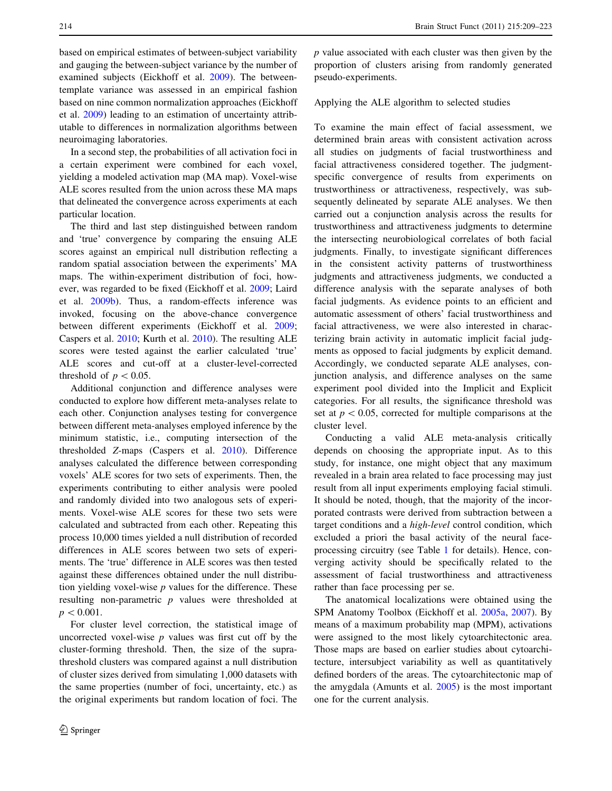based on empirical estimates of between-subject variability and gauging the between-subject variance by the number of examined subjects (Eickhoff et al. 2009). The betweentemplate variance was assessed in an empirical fashion based on nine common normalization approaches (Eickhoff et al. 2009) leading to an estimation of uncertainty attributable to differences in normalization algorithms between neuroimaging laboratories.

In a second step, the probabilities of all activation foci in a certain experiment were combined for each voxel, yielding a modeled activation map (MA map). Voxel-wise ALE scores resulted from the union across these MA maps that delineated the convergence across experiments at each particular location.

The third and last step distinguished between random and 'true' convergence by comparing the ensuing ALE scores against an empirical null distribution reflecting a random spatial association between the experiments' MA maps. The within-experiment distribution of foci, however, was regarded to be fixed (Eickhoff et al. 2009; Laird et al. 2009b). Thus, a random-effects inference was invoked, focusing on the above-chance convergence between different experiments (Eickhoff et al. 2009; Caspers et al. 2010; Kurth et al. 2010). The resulting ALE scores were tested against the earlier calculated 'true' ALE scores and cut-off at a cluster-level-corrected threshold of  $p < 0.05$ .

Additional conjunction and difference analyses were conducted to explore how different meta-analyses relate to each other. Conjunction analyses testing for convergence between different meta-analyses employed inference by the minimum statistic, i.e., computing intersection of the thresholded Z-maps (Caspers et al. 2010). Difference analyses calculated the difference between corresponding voxels' ALE scores for two sets of experiments. Then, the experiments contributing to either analysis were pooled and randomly divided into two analogous sets of experiments. Voxel-wise ALE scores for these two sets were calculated and subtracted from each other. Repeating this process 10,000 times yielded a null distribution of recorded differences in ALE scores between two sets of experiments. The 'true' difference in ALE scores was then tested against these differences obtained under the null distribution yielding voxel-wise  $p$  values for the difference. These resulting non-parametric  $p$  values were thresholded at  $p < 0.001$ .

For cluster level correction, the statistical image of uncorrected voxel-wise  $p$  values was first cut off by the cluster-forming threshold. Then, the size of the suprathreshold clusters was compared against a null distribution of cluster sizes derived from simulating 1,000 datasets with the same properties (number of foci, uncertainty, etc.) as the original experiments but random location of foci. The

p value associated with each cluster was then given by the proportion of clusters arising from randomly generated pseudo-experiments.

# Applying the ALE algorithm to selected studies

To examine the main effect of facial assessment, we determined brain areas with consistent activation across all studies on judgments of facial trustworthiness and facial attractiveness considered together. The judgmentspecific convergence of results from experiments on trustworthiness or attractiveness, respectively, was subsequently delineated by separate ALE analyses. We then carried out a conjunction analysis across the results for trustworthiness and attractiveness judgments to determine the intersecting neurobiological correlates of both facial judgments. Finally, to investigate significant differences in the consistent activity patterns of trustworthiness judgments and attractiveness judgments, we conducted a difference analysis with the separate analyses of both facial judgments. As evidence points to an efficient and automatic assessment of others' facial trustworthiness and facial attractiveness, we were also interested in characterizing brain activity in automatic implicit facial judgments as opposed to facial judgments by explicit demand. Accordingly, we conducted separate ALE analyses, conjunction analysis, and difference analyses on the same experiment pool divided into the Implicit and Explicit categories. For all results, the significance threshold was set at  $p<0.05$ , corrected for multiple comparisons at the cluster level.

Conducting a valid ALE meta-analysis critically depends on choosing the appropriate input. As to this study, for instance, one might object that any maximum revealed in a brain area related to face processing may just result from all input experiments employing facial stimuli. It should be noted, though, that the majority of the incorporated contrasts were derived from subtraction between a target conditions and a high-level control condition, which excluded a priori the basal activity of the neural faceprocessing circuitry (see Table 1 for details). Hence, converging activity should be specifically related to the assessment of facial trustworthiness and attractiveness rather than face processing per se.

The anatomical localizations were obtained using the SPM Anatomy Toolbox (Eickhoff et al. 2005a, 2007). By means of a maximum probability map (MPM), activations were assigned to the most likely cytoarchitectonic area. Those maps are based on earlier studies about cytoarchitecture, intersubject variability as well as quantitatively defined borders of the areas. The cytoarchitectonic map of the amygdala (Amunts et al.  $2005$ ) is the most important one for the current analysis.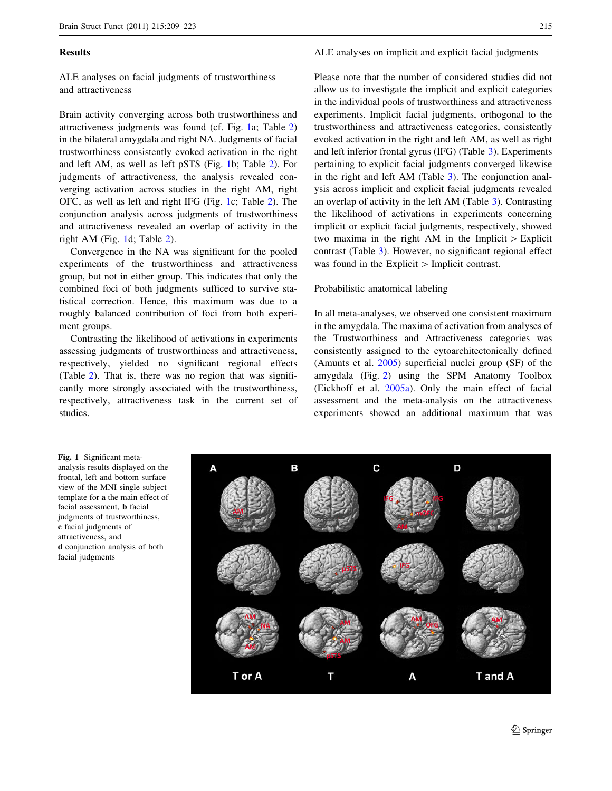#### **Results**

ALE analyses on facial judgments of trustworthiness and attractiveness

Brain activity converging across both trustworthiness and attractiveness judgments was found (cf. Fig. 1a; Table 2) in the bilateral amygdala and right NA. Judgments of facial trustworthiness consistently evoked activation in the right and left AM, as well as left pSTS (Fig. 1b; Table 2). For judgments of attractiveness, the analysis revealed converging activation across studies in the right AM, right OFC, as well as left and right IFG (Fig. 1c; Table 2). The conjunction analysis across judgments of trustworthiness and attractiveness revealed an overlap of activity in the right AM (Fig. 1d; Table 2).

Convergence in the NA was significant for the pooled experiments of the trustworthiness and attractiveness group, but not in either group. This indicates that only the combined foci of both judgments sufficed to survive statistical correction. Hence, this maximum was due to a roughly balanced contribution of foci from both experiment groups.

Contrasting the likelihood of activations in experiments assessing judgments of trustworthiness and attractiveness, respectively, yielded no significant regional effects (Table 2). That is, there was no region that was significantly more strongly associated with the trustworthiness, respectively, attractiveness task in the current set of studies.

ALE analyses on implicit and explicit facial judgments

Please note that the number of considered studies did not allow us to investigate the implicit and explicit categories in the individual pools of trustworthiness and attractiveness experiments. Implicit facial judgments, orthogonal to the trustworthiness and attractiveness categories, consistently evoked activation in the right and left AM, as well as right and left inferior frontal gyrus (IFG) (Table 3). Experiments pertaining to explicit facial judgments converged likewise in the right and left AM (Table 3). The conjunction analysis across implicit and explicit facial judgments revealed an overlap of activity in the left AM (Table 3). Contrasting the likelihood of activations in experiments concerning implicit or explicit facial judgments, respectively, showed two maxima in the right AM in the Implicit  $\geq$  Explicit contrast (Table 3). However, no significant regional effect was found in the Explicit  $\ge$  Implicit contrast.

#### Probabilistic anatomical labeling

In all meta-analyses, we observed one consistent maximum in the amygdala. The maxima of activation from analyses of the Trustworthiness and Attractiveness categories was consistently assigned to the cytoarchitectonically defined (Amunts et al. 2005) superficial nuclei group (SF) of the amygdala (Fig. 2) using the SPM Anatomy Toolbox (Eickhoff et al. 2005a). Only the main effect of facial assessment and the meta-analysis on the attractiveness experiments showed an additional maximum that was

Fig. 1 Significant metaanalysis results displayed on the frontal, left and bottom surface view of the MNI single subject template for a the main effect of facial assessment, b facial judgments of trustworthiness, c facial judgments of attractiveness, and d conjunction analysis of both facial judgments

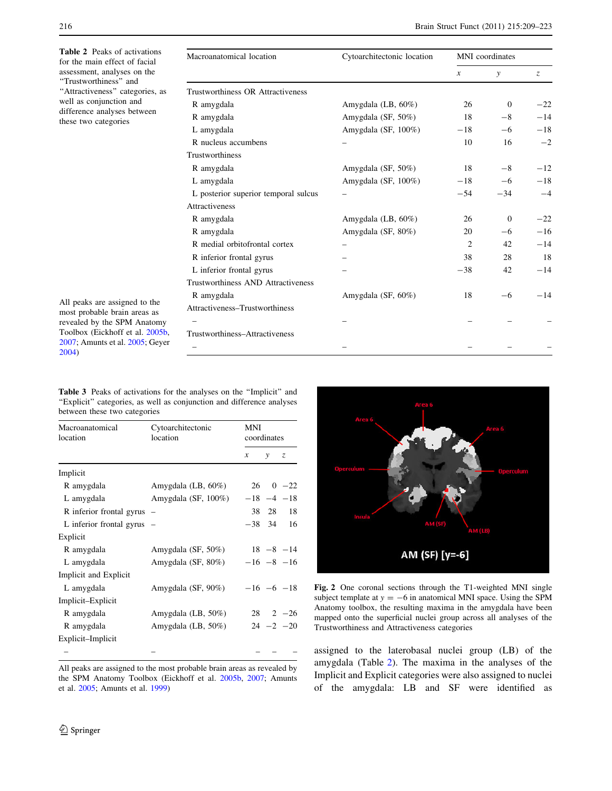| <b>Table 2</b> Peaks of activations<br>for the main effect of facial | Macroanatomical location             | Cytoarchitectonic location |                  | MNI coordinates |               |  |
|----------------------------------------------------------------------|--------------------------------------|----------------------------|------------------|-----------------|---------------|--|
| assessment, analyses on the<br>"Trustworthiness" and                 |                                      |                            | $\boldsymbol{x}$ | $\mathcal{Y}$   | $\mathcal{Z}$ |  |
| "Attractiveness" categories, as                                      | Trustworthiness OR Attractiveness    |                            |                  |                 |               |  |
| well as conjunction and                                              | R amygdala                           | Amygdala (LB, 60%)         | 26               | $\mathbf{0}$    | $-22$         |  |
| difference analyses between<br>these two categories                  | R amygdala                           | Amygdala (SF, 50%)         | 18               | $-8$            | $-14$         |  |
|                                                                      | L amygdala                           | Amygdala (SF, 100%)        | $-18$            | $-6$            | $-18$         |  |
|                                                                      | R nucleus accumbens                  |                            | 10               | 16              | $-2$          |  |
|                                                                      | Trustworthiness                      |                            |                  |                 |               |  |
|                                                                      | R amygdala                           | Amygdala (SF, 50%)         | 18               | $-8$            | $-12$         |  |
|                                                                      | L amygdala                           | Amygdala (SF, $100\%$ )    | $-18$            | $-6$            | $-18$         |  |
|                                                                      | L posterior superior temporal sulcus |                            | $-54$            | $-34$           | $-4$          |  |
|                                                                      | Attractiveness                       |                            |                  |                 |               |  |
|                                                                      | R amygdala                           | Amygdala (LB, $60\%$ )     | 26               | $\mathbf{0}$    | $-22$         |  |
|                                                                      | R amygdala                           | Amygdala (SF, 80%)         | 20               | $-6$            | $-16$         |  |
|                                                                      | R medial orbitofrontal cortex        |                            | 2                | 42              | $-14$         |  |
|                                                                      | R inferior frontal gyrus             |                            | 38               | 28              | 18            |  |
|                                                                      | L inferior frontal gyrus             |                            | $-38$            | 42              | $-14$         |  |
|                                                                      | Trustworthiness AND Attractiveness   |                            |                  |                 |               |  |
|                                                                      | R amygdala                           | Amygdala (SF, 60%)         | 18               | $-6$            | $-14$         |  |
| All peaks are assigned to the<br>most probable brain areas as        | Attractiveness–Trustworthiness       |                            |                  |                 |               |  |
| revealed by the SPM Anatomy                                          |                                      |                            |                  |                 |               |  |
| Toolbox (Eickhoff et al. 2005b,                                      | Trustworthiness-Attractiveness       |                            |                  |                 |               |  |
| 2007; Amunts et al. 2005; Geyer<br>2004)                             |                                      |                            |                  |                 |               |  |

Table 3 Peaks of activations for the analyses on the "Implicit" and "Explicit" categories, as well as conjunction and difference analyses between these two categories

| Macroanatomical<br>location  | Cytoarchitectonic<br>location |               | <b>MNI</b><br>coordinates |                  |  |  |
|------------------------------|-------------------------------|---------------|---------------------------|------------------|--|--|
|                              |                               | $\mathcal{X}$ | $\mathcal{V}$             | $\mathcal{Z}$    |  |  |
| Implicit                     |                               |               |                           |                  |  |  |
| R amygdala                   | Amygdala (LB, $60\%$ )        |               |                           | $26 \t 0 -22$    |  |  |
| L amygdala                   | Amygdala (SF, $100\%$ )       |               |                           | $-18$ $-4$ $-18$ |  |  |
| R inferior frontal gyrus $-$ |                               |               | 38 28                     | 18               |  |  |
| L inferior frontal gyrus $-$ |                               |               |                           | $-38$ 34 16      |  |  |
| Explicit                     |                               |               |                           |                  |  |  |
| R amygdala                   | Amygdala (SF, $50\%$ )        |               |                           | $18 - 8 - 14$    |  |  |
| L amygdala                   | Amygdala (SF, 80%)            |               |                           | $-16 - 8 -16$    |  |  |
| Implicit and Explicit        |                               |               |                           |                  |  |  |
| L amygdala                   | Amygdala (SF, 90%)            |               |                           | $-16 -6 -18$     |  |  |
| Implicit-Explicit            |                               |               |                           |                  |  |  |
| R amygdala                   | Amygdala (LB, 50%)            |               |                           | $28 \t2 - 26$    |  |  |
| R amygdala                   | Amygdala (LB, 50%)            |               |                           | $24 -2 -20$      |  |  |
| Explicit-Implicit            |                               |               |                           |                  |  |  |
|                              |                               |               |                           |                  |  |  |

All peaks are assigned to the most probable brain areas as revealed by the SPM Anatomy Toolbox (Eickhoff et al. 2005b, 2007; Amunts et al. 2005; Amunts et al. 1999)



Fig. 2 One coronal sections through the T1-weighted MNI single subject template at  $y = -6$  in anatomical MNI space. Using the SPM Anatomy toolbox, the resulting maxima in the amygdala have been mapped onto the superficial nuclei group across all analyses of the Trustworthiness and Attractiveness categories

assigned to the laterobasal nuclei group (LB) of the amygdala (Table 2). The maxima in the analyses of the Implicit and Explicit categories were also assigned to nuclei of the amygdala: LB and SF were identified as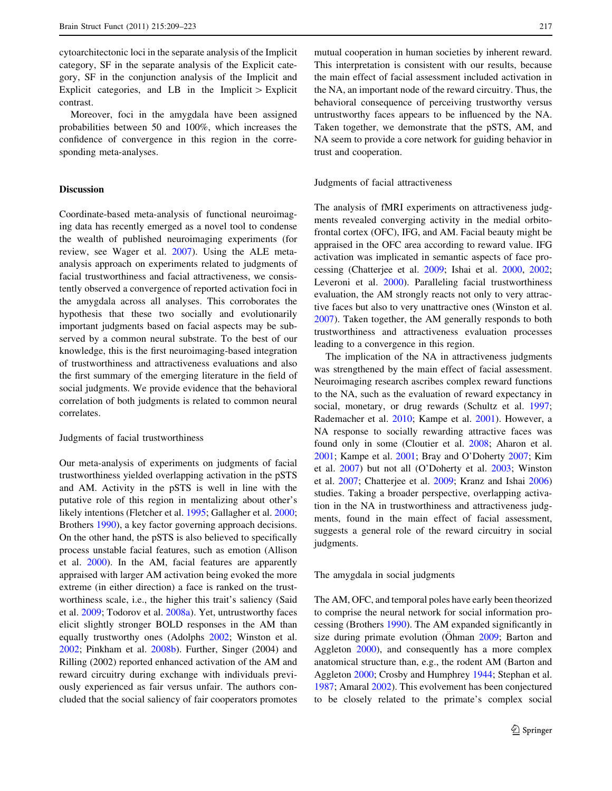cytoarchitectonic loci in the separate analysis of the Implicit category, SF in the separate analysis of the Explicit category, SF in the conjunction analysis of the Implicit and Explicit categories, and LB in the Implicit  $\geq$  Explicit contrast.

Moreover, foci in the amygdala have been assigned probabilities between 50 and 100%, which increases the confidence of convergence in this region in the corresponding meta-analyses.

#### **Discussion**

Coordinate-based meta-analysis of functional neuroimaging data has recently emerged as a novel tool to condense the wealth of published neuroimaging experiments (for review, see Wager et al. 2007). Using the ALE metaanalysis approach on experiments related to judgments of facial trustworthiness and facial attractiveness, we consistently observed a convergence of reported activation foci in the amygdala across all analyses. This corroborates the hypothesis that these two socially and evolutionarily important judgments based on facial aspects may be subserved by a common neural substrate. To the best of our knowledge, this is the first neuroimaging-based integration of trustworthiness and attractiveness evaluations and also the first summary of the emerging literature in the field of social judgments. We provide evidence that the behavioral correlation of both judgments is related to common neural correlates.

# Judgments of facial trustworthiness

Our meta-analysis of experiments on judgments of facial trustworthiness yielded overlapping activation in the pSTS and AM. Activity in the pSTS is well in line with the putative role of this region in mentalizing about other's likely intentions (Fletcher et al. 1995; Gallagher et al. 2000; Brothers 1990), a key factor governing approach decisions. On the other hand, the pSTS is also believed to specifically process unstable facial features, such as emotion (Allison et al. 2000). In the AM, facial features are apparently appraised with larger AM activation being evoked the more extreme (in either direction) a face is ranked on the trustworthiness scale, i.e., the higher this trait's saliency (Said et al. 2009; Todorov et al. 2008a). Yet, untrustworthy faces elicit slightly stronger BOLD responses in the AM than equally trustworthy ones (Adolphs 2002; Winston et al. 2002; Pinkham et al. 2008b). Further, Singer (2004) and Rilling (2002) reported enhanced activation of the AM and reward circuitry during exchange with individuals previously experienced as fair versus unfair. The authors concluded that the social saliency of fair cooperators promotes

mutual cooperation in human societies by inherent reward. This interpretation is consistent with our results, because the main effect of facial assessment included activation in the NA, an important node of the reward circuitry. Thus, the behavioral consequence of perceiving trustworthy versus untrustworthy faces appears to be influenced by the NA. Taken together, we demonstrate that the pSTS, AM, and NA seem to provide a core network for guiding behavior in trust and cooperation.

#### Judgments of facial attractiveness

The analysis of fMRI experiments on attractiveness judgments revealed converging activity in the medial orbitofrontal cortex (OFC), IFG, and AM. Facial beauty might be appraised in the OFC area according to reward value. IFG activation was implicated in semantic aspects of face processing (Chatterjee et al. 2009; Ishai et al. 2000, 2002; Leveroni et al. 2000). Paralleling facial trustworthiness evaluation, the AM strongly reacts not only to very attractive faces but also to very unattractive ones (Winston et al. 2007). Taken together, the AM generally responds to both trustworthiness and attractiveness evaluation processes leading to a convergence in this region.

The implication of the NA in attractiveness judgments was strengthened by the main effect of facial assessment. Neuroimaging research ascribes complex reward functions to the NA, such as the evaluation of reward expectancy in social, monetary, or drug rewards (Schultz et al. 1997; Rademacher et al. 2010; Kampe et al. 2001). However, a NA response to socially rewarding attractive faces was found only in some (Cloutier et al. 2008; Aharon et al. 2001; Kampe et al. 2001; Bray and O'Doherty 2007; Kim et al. 2007) but not all (O'Doherty et al. 2003; Winston et al. 2007; Chatterjee et al. 2009; Kranz and Ishai 2006) studies. Taking a broader perspective, overlapping activation in the NA in trustworthiness and attractiveness judgments, found in the main effect of facial assessment, suggests a general role of the reward circuitry in social judgments.

# The amygdala in social judgments

The AM, OFC, and temporal poles have early been theorized to comprise the neural network for social information processing (Brothers 1990). The AM expanded significantly in size during primate evolution (Ohman  $2009$ ; Barton and Aggleton 2000), and consequently has a more complex anatomical structure than, e.g., the rodent AM (Barton and Aggleton 2000; Crosby and Humphrey 1944; Stephan et al. 1987; Amaral 2002). This evolvement has been conjectured to be closely related to the primate's complex social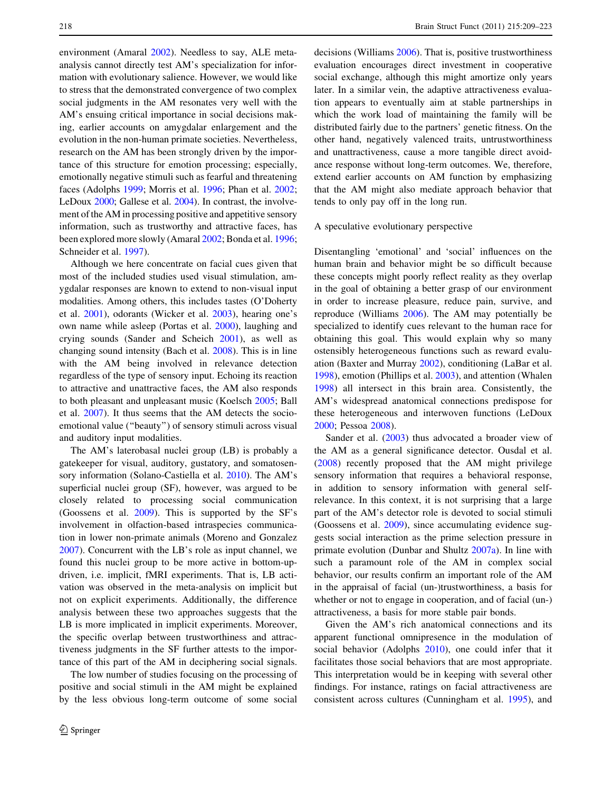environment (Amaral 2002). Needless to say, ALE metaanalysis cannot directly test AM's specialization for information with evolutionary salience. However, we would like to stress that the demonstrated convergence of two complex social judgments in the AM resonates very well with the AM's ensuing critical importance in social decisions making, earlier accounts on amygdalar enlargement and the evolution in the non-human primate societies. Nevertheless, research on the AM has been strongly driven by the importance of this structure for emotion processing; especially, emotionally negative stimuli such as fearful and threatening faces (Adolphs 1999; Morris et al. 1996; Phan et al. 2002; LeDoux 2000; Gallese et al. 2004). In contrast, the involvement of the AM in processing positive and appetitive sensory information, such as trustworthy and attractive faces, has been explored more slowly (Amaral 2002; Bonda et al. 1996; Schneider et al. 1997).

Although we here concentrate on facial cues given that most of the included studies used visual stimulation, amygdalar responses are known to extend to non-visual input modalities. Among others, this includes tastes (O'Doherty et al. 2001), odorants (Wicker et al. 2003), hearing one's own name while asleep (Portas et al. 2000), laughing and crying sounds (Sander and Scheich 2001), as well as changing sound intensity (Bach et al. 2008). This is in line with the AM being involved in relevance detection regardless of the type of sensory input. Echoing its reaction to attractive and unattractive faces, the AM also responds to both pleasant and unpleasant music (Koelsch 2005; Ball et al. 2007). It thus seems that the AM detects the socioemotional value (''beauty'') of sensory stimuli across visual and auditory input modalities.

The AM's laterobasal nuclei group (LB) is probably a gatekeeper for visual, auditory, gustatory, and somatosensory information (Solano-Castiella et al. 2010). The AM's superficial nuclei group (SF), however, was argued to be closely related to processing social communication (Goossens et al. 2009). This is supported by the SF's involvement in olfaction-based intraspecies communication in lower non-primate animals (Moreno and Gonzalez 2007). Concurrent with the LB's role as input channel, we found this nuclei group to be more active in bottom-updriven, i.e. implicit, fMRI experiments. That is, LB activation was observed in the meta-analysis on implicit but not on explicit experiments. Additionally, the difference analysis between these two approaches suggests that the LB is more implicated in implicit experiments. Moreover, the specific overlap between trustworthiness and attractiveness judgments in the SF further attests to the importance of this part of the AM in deciphering social signals.

The low number of studies focusing on the processing of positive and social stimuli in the AM might be explained by the less obvious long-term outcome of some social decisions (Williams 2006). That is, positive trustworthiness evaluation encourages direct investment in cooperative social exchange, although this might amortize only years later. In a similar vein, the adaptive attractiveness evaluation appears to eventually aim at stable partnerships in which the work load of maintaining the family will be distributed fairly due to the partners' genetic fitness. On the other hand, negatively valenced traits, untrustworthiness and unattractiveness, cause a more tangible direct avoidance response without long-term outcomes. We, therefore, extend earlier accounts on AM function by emphasizing that the AM might also mediate approach behavior that tends to only pay off in the long run.

#### A speculative evolutionary perspective

Disentangling 'emotional' and 'social' influences on the human brain and behavior might be so difficult because these concepts might poorly reflect reality as they overlap in the goal of obtaining a better grasp of our environment in order to increase pleasure, reduce pain, survive, and reproduce (Williams 2006). The AM may potentially be specialized to identify cues relevant to the human race for obtaining this goal. This would explain why so many ostensibly heterogeneous functions such as reward evaluation (Baxter and Murray 2002), conditioning (LaBar et al. 1998), emotion (Phillips et al. 2003), and attention (Whalen 1998) all intersect in this brain area. Consistently, the AM's widespread anatomical connections predispose for these heterogeneous and interwoven functions (LeDoux 2000; Pessoa 2008).

Sander et al. (2003) thus advocated a broader view of the AM as a general significance detector. Ousdal et al. (2008) recently proposed that the AM might privilege sensory information that requires a behavioral response, in addition to sensory information with general selfrelevance. In this context, it is not surprising that a large part of the AM's detector role is devoted to social stimuli (Goossens et al. 2009), since accumulating evidence suggests social interaction as the prime selection pressure in primate evolution (Dunbar and Shultz 2007a). In line with such a paramount role of the AM in complex social behavior, our results confirm an important role of the AM in the appraisal of facial (un-)trustworthiness, a basis for whether or not to engage in cooperation, and of facial (un-) attractiveness, a basis for more stable pair bonds.

Given the AM's rich anatomical connections and its apparent functional omnipresence in the modulation of social behavior (Adolphs 2010), one could infer that it facilitates those social behaviors that are most appropriate. This interpretation would be in keeping with several other findings. For instance, ratings on facial attractiveness are consistent across cultures (Cunningham et al. 1995), and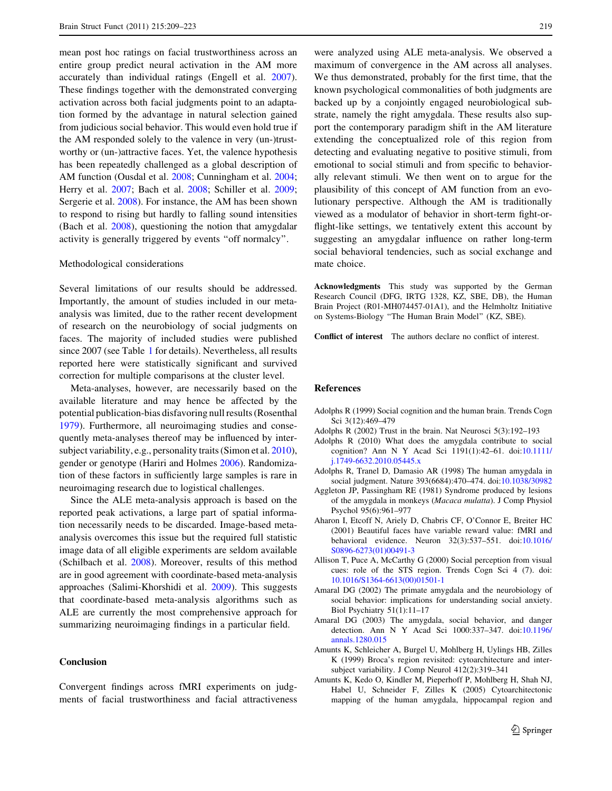mean post hoc ratings on facial trustworthiness across an entire group predict neural activation in the AM more accurately than individual ratings (Engell et al. 2007). These findings together with the demonstrated converging activation across both facial judgments point to an adaptation formed by the advantage in natural selection gained from judicious social behavior. This would even hold true if the AM responded solely to the valence in very (un-)trustworthy or (un-)attractive faces. Yet, the valence hypothesis has been repeatedly challenged as a global description of AM function (Ousdal et al. 2008; Cunningham et al. 2004; Herry et al. 2007; Bach et al. 2008; Schiller et al. 2009; Sergerie et al. 2008). For instance, the AM has been shown to respond to rising but hardly to falling sound intensities (Bach et al. 2008), questioning the notion that amygdalar activity is generally triggered by events ''off normalcy''.

# Methodological considerations

Several limitations of our results should be addressed. Importantly, the amount of studies included in our metaanalysis was limited, due to the rather recent development of research on the neurobiology of social judgments on faces. The majority of included studies were published since 2007 (see Table 1 for details). Nevertheless, all results reported here were statistically significant and survived correction for multiple comparisons at the cluster level.

Meta-analyses, however, are necessarily based on the available literature and may hence be affected by the potential publication-bias disfavoring null results (Rosenthal 1979). Furthermore, all neuroimaging studies and consequently meta-analyses thereof may be influenced by intersubject variability, e.g., personality traits (Simon et al. 2010), gender or genotype (Hariri and Holmes 2006). Randomization of these factors in sufficiently large samples is rare in neuroimaging research due to logistical challenges.

Since the ALE meta-analysis approach is based on the reported peak activations, a large part of spatial information necessarily needs to be discarded. Image-based metaanalysis overcomes this issue but the required full statistic image data of all eligible experiments are seldom available (Schilbach et al. 2008). Moreover, results of this method are in good agreement with coordinate-based meta-analysis approaches (Salimi-Khorshidi et al. 2009). This suggests that coordinate-based meta-analysis algorithms such as ALE are currently the most comprehensive approach for summarizing neuroimaging findings in a particular field.

# Conclusion

Convergent findings across fMRI experiments on judgments of facial trustworthiness and facial attractiveness were analyzed using ALE meta-analysis. We observed a maximum of convergence in the AM across all analyses. We thus demonstrated, probably for the first time, that the known psychological commonalities of both judgments are backed up by a conjointly engaged neurobiological substrate, namely the right amygdala. These results also support the contemporary paradigm shift in the AM literature extending the conceptualized role of this region from detecting and evaluating negative to positive stimuli, from emotional to social stimuli and from specific to behaviorally relevant stimuli. We then went on to argue for the plausibility of this concept of AM function from an evolutionary perspective. Although the AM is traditionally viewed as a modulator of behavior in short-term fight-orflight-like settings, we tentatively extent this account by suggesting an amygdalar influence on rather long-term social behavioral tendencies, such as social exchange and mate choice.

Acknowledgments This study was supported by the German Research Council (DFG, IRTG 1328, KZ, SBE, DB), the Human Brain Project (R01-MH074457-01A1), and the Helmholtz Initiative on Systems-Biology ''The Human Brain Model'' (KZ, SBE).

Conflict of interest The authors declare no conflict of interest.

#### References

- Adolphs R (1999) Social cognition and the human brain. Trends Cogn Sci 3(12):469–479
- Adolphs R (2002) Trust in the brain. Nat Neurosci 5(3):192–193
- Adolphs R (2010) What does the amygdala contribute to social cognition? Ann N Y Acad Sci 1191(1):42–61. doi:10.1111/ j.1749-6632.2010.05445.x
- Adolphs R, Tranel D, Damasio AR (1998) The human amygdala in social judgment. Nature 393(6684):470–474. doi:10.1038/30982
- Aggleton JP, Passingham RE (1981) Syndrome produced by lesions of the amygdala in monkeys (Macaca mulatta). J Comp Physiol Psychol 95(6):961–977
- Aharon I, Etcoff N, Ariely D, Chabris CF, O'Connor E, Breiter HC (2001) Beautiful faces have variable reward value: fMRI and behavioral evidence. Neuron 32(3):537–551. doi:10.1016/ S0896-6273(01)00491-3
- Allison T, Puce A, McCarthy G (2000) Social perception from visual cues: role of the STS region. Trends Cogn Sci 4 (7). doi: 10.1016/S1364-6613(00)01501-1
- Amaral DG (2002) The primate amygdala and the neurobiology of social behavior: implications for understanding social anxiety. Biol Psychiatry 51(1):11–17
- Amaral DG (2003) The amygdala, social behavior, and danger detection. Ann N Y Acad Sci 1000:337–347. doi:10.1196/ annals.1280.015
- Amunts K, Schleicher A, Burgel U, Mohlberg H, Uylings HB, Zilles K (1999) Broca's region revisited: cytoarchitecture and intersubject variability. J Comp Neurol 412(2):319–341
- Amunts K, Kedo O, Kindler M, Pieperhoff P, Mohlberg H, Shah NJ, Habel U, Schneider F, Zilles K (2005) Cytoarchitectonic mapping of the human amygdala, hippocampal region and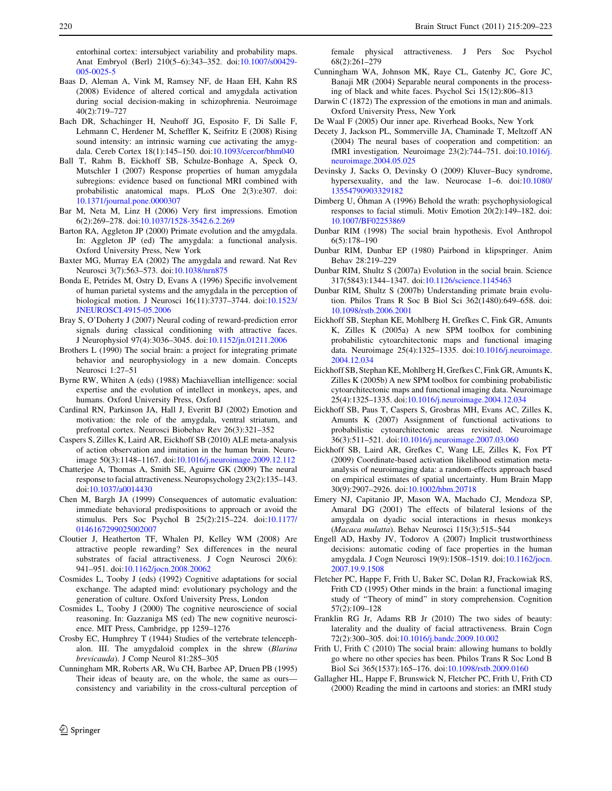entorhinal cortex: intersubject variability and probability maps. Anat Embryol (Berl) 210(5–6):343–352. doi:10.1007/s00429- 005-0025-5

- Baas D, Aleman A, Vink M, Ramsey NF, de Haan EH, Kahn RS (2008) Evidence of altered cortical and amygdala activation during social decision-making in schizophrenia. Neuroimage 40(2):719–727
- Bach DR, Schachinger H, Neuhoff JG, Esposito F, Di Salle F, Lehmann C, Herdener M, Scheffler K, Seifritz E (2008) Rising sound intensity: an intrinsic warning cue activating the amygdala. Cereb Cortex 18(1):145–150. doi:10.1093/cercor/bhm040
- Ball T, Rahm B, Eickhoff SB, Schulze-Bonhage A, Speck O, Mutschler I (2007) Response properties of human amygdala subregions: evidence based on functional MRI combined with probabilistic anatomical maps. PLoS One 2(3):e307. doi: 10.1371/journal.pone.0000307
- Bar M, Neta M, Linz H (2006) Very first impressions. Emotion 6(2):269–278. doi:10.1037/1528-3542.6.2.269
- Barton RA, Aggleton JP (2000) Primate evolution and the amygdala. In: Aggleton JP (ed) The amygdala: a functional analysis. Oxford University Press, New York
- Baxter MG, Murray EA (2002) The amygdala and reward. Nat Rev Neurosci 3(7):563–573. doi:10.1038/nrn875
- Bonda E, Petrides M, Ostry D, Evans A (1996) Specific involvement of human parietal systems and the amygdala in the perception of biological motion. J Neurosci 16(11):3737–3744. doi:10.1523/ JNEUROSCI.4915-05.2006
- Bray S, O'Doherty J (2007) Neural coding of reward-prediction error signals during classical conditioning with attractive faces. J Neurophysiol 97(4):3036–3045. doi:10.1152/jn.01211.2006
- Brothers L (1990) The social brain: a project for integrating primate behavior and neurophysiology in a new domain. Concepts Neurosci 1:27–51
- Byrne RW, Whiten A (eds) (1988) Machiavellian intelligence: social expertise and the evolution of intellect in monkeys, apes, and humans. Oxford University Press, Oxford
- Cardinal RN, Parkinson JA, Hall J, Everitt BJ (2002) Emotion and motivation: the role of the amygdala, ventral striatum, and prefrontal cortex. Neurosci Biobehav Rev 26(3):321–352
- Caspers S, Zilles K, Laird AR, Eickhoff SB (2010) ALE meta-analysis of action observation and imitation in the human brain. Neuroimage 50(3):1148–1167. doi:10.1016/j.neuroimage.2009.12.112
- Chatterjee A, Thomas A, Smith SE, Aguirre GK (2009) The neural response to facial attractiveness. Neuropsychology 23(2):135–143. doi:10.1037/a0014430
- Chen M, Bargh JA (1999) Consequences of automatic evaluation: immediate behavioral predispositions to approach or avoid the stimulus. Pers Soc Psychol B 25(2):215–224. doi:10.1177/ 0146167299025002007
- Cloutier J, Heatherton TF, Whalen PJ, Kelley WM (2008) Are attractive people rewarding? Sex differences in the neural substrates of facial attractiveness. J Cogn Neurosci 20(6): 941–951. doi:10.1162/jocn.2008.20062
- Cosmides L, Tooby J (eds) (1992) Cognitive adaptations for social exchange. The adapted mind: evolutionary psychology and the generation of culture. Oxford University Press, London
- Cosmides L, Tooby J (2000) The cognitive neuroscience of social reasoning. In: Gazzaniga MS (ed) The new cognitive neuroscience. MIT Press, Cambridge, pp 1259–1276
- Crosby EC, Humphrey T (1944) Studies of the vertebrate telencephalon. III. The amygdaloid complex in the shrew (Blarina brevicauda). J Comp Neurol 81:285–305
- Cunningham MR, Roberts AR, Wu CH, Barbee AP, Druen PB (1995) Their ideas of beauty are, on the whole, the same as ours consistency and variability in the cross-cultural perception of

female physical attractiveness. J Pers Soc Psychol 68(2):261–279

- Cunningham WA, Johnson MK, Raye CL, Gatenby JC, Gore JC, Banaji MR (2004) Separable neural components in the processing of black and white faces. Psychol Sci 15(12):806–813
- Darwin C (1872) The expression of the emotions in man and animals. Oxford University Press, New York
- De Waal F (2005) Our inner ape. Riverhead Books, New York
- Decety J, Jackson PL, Sommerville JA, Chaminade T, Meltzoff AN (2004) The neural bases of cooperation and competition: an fMRI investigation. Neuroimage 23(2):744–751. doi:10.1016/j. neuroimage.2004.05.025
- Devinsky J, Sacks O, Devinsky O (2009) Kluver–Bucy syndrome, hypersexuality, and the law. Neurocase 1–6. doi:10.1080/ 13554790903329182
- Dimberg U, Öhman A (1996) Behold the wrath: psychophysiological responses to facial stimuli. Motiv Emotion 20(2):149–182. doi: 10.1007/BF02253869
- Dunbar RIM (1998) The social brain hypothesis. Evol Anthropol 6(5):178–190
- Dunbar RIM, Dunbar EP (1980) Pairbond in klipspringer. Anim Behav 28:219–229
- Dunbar RIM, Shultz S (2007a) Evolution in the social brain. Science 317(5843):1344–1347. doi:10.1126/science.1145463
- Dunbar RIM, Shultz S (2007b) Understanding primate brain evolution. Philos Trans R Soc B Biol Sci 362(1480):649–658. doi: 10.1098/rstb.2006.2001
- Eickhoff SB, Stephan KE, Mohlberg H, Grefkes C, Fink GR, Amunts K, Zilles K (2005a) A new SPM toolbox for combining probabilistic cytoarchitectonic maps and functional imaging data. Neuroimage 25(4):1325–1335. doi:10.1016/j.neuroimage. 2004.12.034
- Eickhoff SB, Stephan KE, Mohlberg H, Grefkes C, Fink GR, Amunts K, Zilles K (2005b) A new SPM toolbox for combining probabilistic cytoarchitectonic maps and functional imaging data. Neuroimage 25(4):1325–1335. doi:10.1016/j.neuroimage.2004.12.034
- Eickhoff SB, Paus T, Caspers S, Grosbras MH, Evans AC, Zilles K, Amunts K (2007) Assignment of functional activations to probabilistic cytoarchitectonic areas revisited. Neuroimage 36(3):511–521. doi:10.1016/j.neuroimage.2007.03.060
- Eickhoff SB, Laird AR, Grefkes C, Wang LE, Zilles K, Fox PT (2009) Coordinate-based activation likelihood estimation metaanalysis of neuroimaging data: a random-effects approach based on empirical estimates of spatial uncertainty. Hum Brain Mapp 30(9):2907–2926. doi:10.1002/hbm.20718
- Emery NJ, Capitanio JP, Mason WA, Machado CJ, Mendoza SP, Amaral DG (2001) The effects of bilateral lesions of the amygdala on dyadic social interactions in rhesus monkeys (Macaca mulatta). Behav Neurosci 115(3):515–544
- Engell AD, Haxby JV, Todorov A (2007) Implicit trustworthiness decisions: automatic coding of face properties in the human amygdala. J Cogn Neurosci 19(9):1508–1519. doi:10.1162/jocn. 2007.19.9.1508
- Fletcher PC, Happe F, Frith U, Baker SC, Dolan RJ, Frackowiak RS, Frith CD (1995) Other minds in the brain: a functional imaging study of ''Theory of mind'' in story comprehension. Cognition 57(2):109–128
- Franklin RG Jr, Adams RB Jr (2010) The two sides of beauty: laterality and the duality of facial attractiveness. Brain Cogn 72(2):300–305. doi:10.1016/j.bandc.2009.10.002
- Frith U, Frith C (2010) The social brain: allowing humans to boldly go where no other species has been. Philos Trans R Soc Lond B Biol Sci 365(1537):165–176. doi:10.1098/rstb.2009.0160
- Gallagher HL, Happe F, Brunswick N, Fletcher PC, Frith U, Frith CD (2000) Reading the mind in cartoons and stories: an fMRI study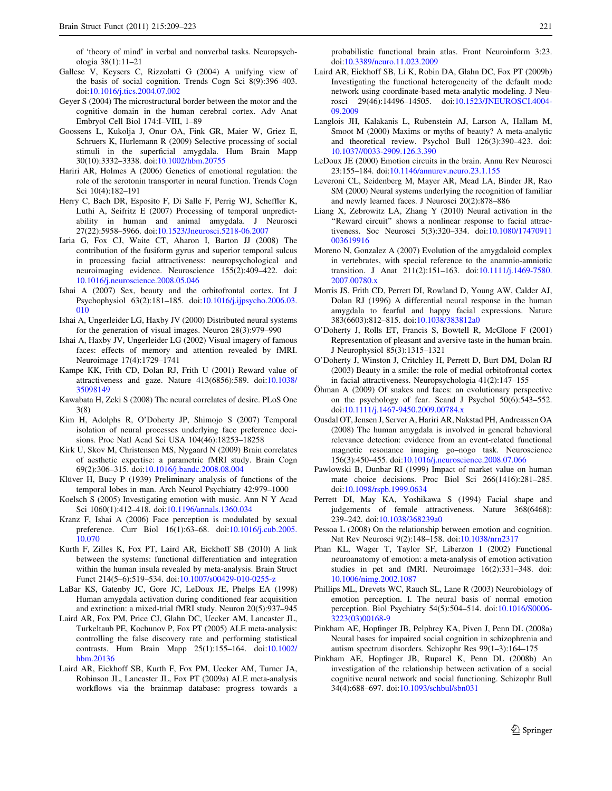of 'theory of mind' in verbal and nonverbal tasks. Neuropsychologia 38(1):11–21

- Gallese V, Keysers C, Rizzolatti G (2004) A unifying view of the basis of social cognition. Trends Cogn Sci 8(9):396–403. doi:10.1016/j.tics.2004.07.002
- Geyer S (2004) The microstructural border between the motor and the cognitive domain in the human cerebral cortex. Adv Anat Embryol Cell Biol 174:I–VIII, 1–89
- Goossens L, Kukolja J, Onur OA, Fink GR, Maier W, Griez E, Schruers K, Hurlemann R (2009) Selective processing of social stimuli in the superficial amygdala. Hum Brain Mapp 30(10):3332–3338. doi:10.1002/hbm.20755
- Hariri AR, Holmes A (2006) Genetics of emotional regulation: the role of the serotonin transporter in neural function. Trends Cogn Sci 10(4):182–191
- Herry C, Bach DR, Esposito F, Di Salle F, Perrig WJ, Scheffler K, Luthi A, Seifritz E (2007) Processing of temporal unpredictability in human and animal amygdala. J Neurosci 27(22):5958–5966. doi:10.1523/Jneurosci.5218-06.2007
- Iaria G, Fox CJ, Waite CT, Aharon I, Barton JJ (2008) The contribution of the fusiform gyrus and superior temporal sulcus in processing facial attractiveness: neuropsychological and neuroimaging evidence. Neuroscience 155(2):409–422. doi: 10.1016/j.neuroscience.2008.05.046
- Ishai A (2007) Sex, beauty and the orbitofrontal cortex. Int J Psychophysiol 63(2):181–185. doi:10.1016/j.ijpsycho.2006.03. 010
- Ishai A, Ungerleider LG, Haxby JV (2000) Distributed neural systems for the generation of visual images. Neuron 28(3):979–990
- Ishai A, Haxby JV, Ungerleider LG (2002) Visual imagery of famous faces: effects of memory and attention revealed by fMRI. Neuroimage 17(4):1729–1741
- Kampe KK, Frith CD, Dolan RJ, Frith U (2001) Reward value of attractiveness and gaze. Nature 413(6856):589. doi:10.1038/ 35098149
- Kawabata H, Zeki S (2008) The neural correlates of desire. PLoS One 3(8)
- Kim H, Adolphs R, O'Doherty JP, Shimojo S (2007) Temporal isolation of neural processes underlying face preference decisions. Proc Natl Acad Sci USA 104(46):18253–18258
- Kirk U, Skov M, Christensen MS, Nygaard N (2009) Brain correlates of aesthetic expertise: a parametric fMRI study. Brain Cogn 69(2):306–315. doi:10.1016/j.bandc.2008.08.004
- Klüver H, Bucy P  $(1939)$  Preliminary analysis of functions of the temporal lobes in man. Arch Neurol Psychiatry 42:979–1000
- Koelsch S (2005) Investigating emotion with music. Ann N Y Acad Sci 1060(1):412–418. doi:10.1196/annals.1360.034
- Kranz F, Ishai A (2006) Face perception is modulated by sexual preference. Curr Biol 16(1):63–68. doi:10.1016/j.cub.2005. 10.070
- Kurth F, Zilles K, Fox PT, Laird AR, Eickhoff SB (2010) A link between the systems: functional differentiation and integration within the human insula revealed by meta-analysis. Brain Struct Funct 214(5–6):519–534. doi:10.1007/s00429-010-0255-z
- LaBar KS, Gatenby JC, Gore JC, LeDoux JE, Phelps EA (1998) Human amygdala activation during conditioned fear acquisition and extinction: a mixed-trial fMRI study. Neuron 20(5):937–945
- Laird AR, Fox PM, Price CJ, Glahn DC, Uecker AM, Lancaster JL, Turkeltaub PE, Kochunov P, Fox PT (2005) ALE meta-analysis: controlling the false discovery rate and performing statistical contrasts. Hum Brain Mapp 25(1):155–164. doi:10.1002/ hbm.20136
- Laird AR, Eickhoff SB, Kurth F, Fox PM, Uecker AM, Turner JA, Robinson JL, Lancaster JL, Fox PT (2009a) ALE meta-analysis workflows via the brainmap database: progress towards a

probabilistic functional brain atlas. Front Neuroinform 3:23. doi:10.3389/neuro.11.023.2009

- Laird AR, Eickhoff SB, Li K, Robin DA, Glahn DC, Fox PT (2009b) Investigating the functional heterogeneity of the default mode network using coordinate-based meta-analytic modeling. J Neurosci 29(46):14496–14505. doi:10.1523/JNEUROSCI.4004- 09.2009
- Langlois JH, Kalakanis L, Rubenstein AJ, Larson A, Hallam M, Smoot M (2000) Maxims or myths of beauty? A meta-analytic and theoretical review. Psychol Bull 126(3):390–423. doi: 10.1037//0033-2909.126.3.390
- LeDoux JE (2000) Emotion circuits in the brain. Annu Rev Neurosci 23:155–184. doi:10.1146/annurev.neuro.23.1.155
- Leveroni CL, Seidenberg M, Mayer AR, Mead LA, Binder JR, Rao SM (2000) Neural systems underlying the recognition of familiar and newly learned faces. J Neurosci 20(2):878–886
- Liang X, Zebrowitz LA, Zhang Y (2010) Neural activation in the "Reward circuit" shows a nonlinear response to facial attractiveness. Soc Neurosci 5(3):320–334. doi:10.1080/17470911 003619916
- Moreno N, Gonzalez A (2007) Evolution of the amygdaloid complex in vertebrates, with special reference to the anamnio-amniotic transition. J Anat 211(2):151–163. doi:10.1111/j.1469-7580. 2007.00780.x
- Morris JS, Frith CD, Perrett DI, Rowland D, Young AW, Calder AJ, Dolan RJ (1996) A differential neural response in the human amygdala to fearful and happy facial expressions. Nature 383(6603):812–815. doi:10.1038/383812a0
- O'Doherty J, Rolls ET, Francis S, Bowtell R, McGlone F (2001) Representation of pleasant and aversive taste in the human brain. J Neurophysiol 85(3):1315–1321
- O'Doherty J, Winston J, Critchley H, Perrett D, Burt DM, Dolan RJ (2003) Beauty in a smile: the role of medial orbitofrontal cortex in facial attractiveness. Neuropsychologia 41(2):147–155
- Öhman A (2009) Of snakes and faces: an evolutionary perspective on the psychology of fear. Scand J Psychol 50(6):543–552. doi:10.1111/j.1467-9450.2009.00784.x
- Ousdal OT, Jensen J, Server A, Hariri AR, Nakstad PH, Andreassen OA (2008) The human amygdala is involved in general behavioral relevance detection: evidence from an event-related functional magnetic resonance imaging go–nogo task. Neuroscience 156(3):450–455. doi:10.1016/j.neuroscience.2008.07.066
- Pawlowski B, Dunbar RI (1999) Impact of market value on human mate choice decisions. Proc Biol Sci 266(1416):281–285. doi:10.1098/rspb.1999.0634
- Perrett DI, May KA, Yoshikawa S (1994) Facial shape and judgements of female attractiveness. Nature 368(6468): 239–242. doi:10.1038/368239a0
- Pessoa L (2008) On the relationship between emotion and cognition. Nat Rev Neurosci 9(2):148–158. doi:10.1038/nrn2317
- Phan KL, Wager T, Taylor SF, Liberzon I (2002) Functional neuroanatomy of emotion: a meta-analysis of emotion activation studies in pet and fMRI. Neuroimage 16(2):331–348. doi: 10.1006/nimg.2002.1087
- Phillips ML, Drevets WC, Rauch SL, Lane R (2003) Neurobiology of emotion perception. I. The neural basis of normal emotion perception. Biol Psychiatry 54(5):504–514. doi:10.1016/S0006- 3223(03)00168-9
- Pinkham AE, Hopfinger JB, Pelphrey KA, Piven J, Penn DL (2008a) Neural bases for impaired social cognition in schizophrenia and autism spectrum disorders. Schizophr Res 99(1–3):164–175
- Pinkham AE, Hopfinger JB, Ruparel K, Penn DL (2008b) An investigation of the relationship between activation of a social cognitive neural network and social functioning. Schizophr Bull 34(4):688–697. doi:10.1093/schbul/sbn031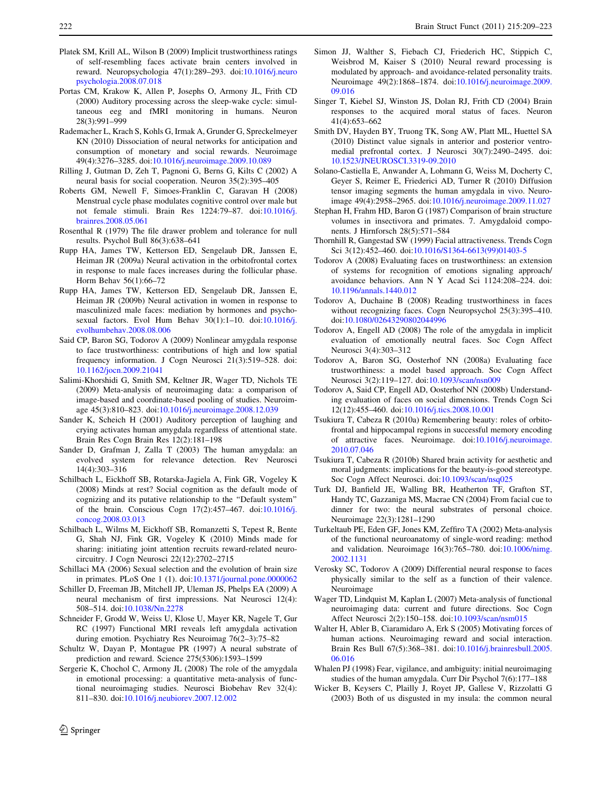- Platek SM, Krill AL, Wilson B (2009) Implicit trustworthiness ratings of self-resembling faces activate brain centers involved in reward. Neuropsychologia 47(1):289–293. doi:10.1016/j.neuro
- psychologia.2008.07.018 Portas CM, Krakow K, Allen P, Josephs O, Armony JL, Frith CD (2000) Auditory processing across the sleep-wake cycle: simultaneous eeg and fMRI monitoring in humans. Neuron 28(3):991–999
- Rademacher L, Krach S, Kohls G, Irmak A, Grunder G, Spreckelmeyer KN (2010) Dissociation of neural networks for anticipation and consumption of monetary and social rewards. Neuroimage 49(4):3276–3285. doi:10.1016/j.neuroimage.2009.10.089
- Rilling J, Gutman D, Zeh T, Pagnoni G, Berns G, Kilts C (2002) A neural basis for social cooperation. Neuron 35(2):395–405
- Roberts GM, Newell F, Simoes-Franklin C, Garavan H (2008) Menstrual cycle phase modulates cognitive control over male but not female stimuli. Brain Res 1224:79–87. doi:10.1016/j. brainres.2008.05.061
- Rosenthal R (1979) The file drawer problem and tolerance for null results. Psychol Bull 86(3):638–641
- Rupp HA, James TW, Ketterson ED, Sengelaub DR, Janssen E, Heiman JR (2009a) Neural activation in the orbitofrontal cortex in response to male faces increases during the follicular phase. Horm Behav 56(1):66–72
- Rupp HA, James TW, Ketterson ED, Sengelaub DR, Janssen E, Heiman JR (2009b) Neural activation in women in response to masculinized male faces: mediation by hormones and psychosexual factors. Evol Hum Behav 30(1):1–10. doi:10.1016/j. evolhumbehav.2008.08.006
- Said CP, Baron SG, Todorov A (2009) Nonlinear amygdala response to face trustworthiness: contributions of high and low spatial frequency information. J Cogn Neurosci 21(3):519–528. doi: 10.1162/jocn.2009.21041
- Salimi-Khorshidi G, Smith SM, Keltner JR, Wager TD, Nichols TE (2009) Meta-analysis of neuroimaging data: a comparison of image-based and coordinate-based pooling of studies. Neuroimage 45(3):810–823. doi:10.1016/j.neuroimage.2008.12.039
- Sander K, Scheich H (2001) Auditory perception of laughing and crying activates human amygdala regardless of attentional state. Brain Res Cogn Brain Res 12(2):181–198
- Sander D, Grafman J, Zalla T (2003) The human amygdala: an evolved system for relevance detection. Rev Neurosci 14(4):303–316
- Schilbach L, Eickhoff SB, Rotarska-Jagiela A, Fink GR, Vogeley K (2008) Minds at rest? Social cognition as the default mode of cognizing and its putative relationship to the ''Default system'' of the brain. Conscious Cogn 17(2):457–467. doi:10.1016/j. concog.2008.03.013
- Schilbach L, Wilms M, Eickhoff SB, Romanzetti S, Tepest R, Bente G, Shah NJ, Fink GR, Vogeley K (2010) Minds made for sharing: initiating joint attention recruits reward-related neurocircuitry. J Cogn Neurosci 22(12):2702–2715
- Schillaci MA (2006) Sexual selection and the evolution of brain size in primates. PLoS One 1 (1). doi:10.1371/journal.pone.0000062
- Schiller D, Freeman JB, Mitchell JP, Uleman JS, Phelps EA (2009) A neural mechanism of first impressions. Nat Neurosci 12(4): 508–514. doi:10.1038/Nn.2278
- Schneider F, Grodd W, Weiss U, Klose U, Mayer KR, Nagele T, Gur RC (1997) Functional MRI reveals left amygdala activation during emotion. Psychiatry Res Neuroimag 76(2–3):75–82
- Schultz W, Dayan P, Montague PR (1997) A neural substrate of prediction and reward. Science 275(5306):1593–1599
- Sergerie K, Chochol C, Armony JL (2008) The role of the amygdala in emotional processing: a quantitative meta-analysis of functional neuroimaging studies. Neurosci Biobehav Rev 32(4): 811–830. doi:10.1016/j.neubiorev.2007.12.002
- Simon JJ, Walther S, Fiebach CJ, Friederich HC, Stippich C, Weisbrod M, Kaiser S (2010) Neural reward processing is modulated by approach- and avoidance-related personality traits. Neuroimage 49(2):1868–1874. doi:10.1016/j.neuroimage.2009. 09.016
- Singer T, Kiebel SJ, Winston JS, Dolan RJ, Frith CD (2004) Brain responses to the acquired moral status of faces. Neuron 41(4):653–662
- Smith DV, Hayden BY, Truong TK, Song AW, Platt ML, Huettel SA (2010) Distinct value signals in anterior and posterior ventromedial prefrontal cortex. J Neurosci 30(7):2490–2495. doi: 10.1523/JNEUROSCI.3319-09.2010
- Solano-Castiella E, Anwander A, Lohmann G, Weiss M, Docherty C, Geyer S, Reimer E, Friederici AD, Turner R (2010) Diffusion tensor imaging segments the human amygdala in vivo. Neuroimage 49(4):2958–2965. doi:10.1016/j.neuroimage.2009.11.027
- Stephan H, Frahm HD, Baron G (1987) Comparison of brain structure volumes in insectivora and primates. 7. Amygdaloid components. J Hirnforsch 28(5):571–584
- Thornhill R, Gangestad SW (1999) Facial attractiveness. Trends Cogn Sci 3(12):452–460. doi:10.1016/S1364-6613(99)01403-5
- Todorov A (2008) Evaluating faces on trustworthiness: an extension of systems for recognition of emotions signaling approach/ avoidance behaviors. Ann N Y Acad Sci 1124:208–224. doi: 10.1196/annals.1440.012
- Todorov A, Duchaine B (2008) Reading trustworthiness in faces without recognizing faces. Cogn Neuropsychol 25(3):395–410. doi:10.1080/02643290802044996
- Todorov A, Engell AD (2008) The role of the amygdala in implicit evaluation of emotionally neutral faces. Soc Cogn Affect Neurosci 3(4):303–312
- Todorov A, Baron SG, Oosterhof NN (2008a) Evaluating face trustworthiness: a model based approach. Soc Cogn Affect Neurosci 3(2):119–127. doi:10.1093/scan/nsn009
- Todorov A, Said CP, Engell AD, Oosterhof NN (2008b) Understanding evaluation of faces on social dimensions. Trends Cogn Sci 12(12):455–460. doi:10.1016/j.tics.2008.10.001
- Tsukiura T, Cabeza R (2010a) Remembering beauty: roles of orbitofrontal and hippocampal regions in successful memory encoding of attractive faces. Neuroimage. doi:10.1016/j.neuroimage. 2010.07.046
- Tsukiura T, Cabeza R (2010b) Shared brain activity for aesthetic and moral judgments: implications for the beauty-is-good stereotype. Soc Cogn Affect Neurosci. doi:10.1093/scan/nsq025
- Turk DJ, Banfield JE, Walling BR, Heatherton TF, Grafton ST, Handy TC, Gazzaniga MS, Macrae CN (2004) From facial cue to dinner for two: the neural substrates of personal choice. Neuroimage 22(3):1281–1290
- Turkeltaub PE, Eden GF, Jones KM, Zeffiro TA (2002) Meta-analysis of the functional neuroanatomy of single-word reading: method and validation. Neuroimage 16(3):765–780. doi:10.1006/nimg. 2002.1131
- Verosky SC, Todorov A (2009) Differential neural response to faces physically similar to the self as a function of their valence. Neuroimage
- Wager TD, Lindquist M, Kaplan L (2007) Meta-analysis of functional neuroimaging data: current and future directions. Soc Cogn Affect Neurosci 2(2):150–158. doi:10.1093/scan/nsm015
- Walter H, Abler B, Ciaramidaro A, Erk S (2005) Motivating forces of human actions. Neuroimaging reward and social interaction. Brain Res Bull 67(5):368–381. doi:10.1016/j.brainresbull.2005. 06.016
- Whalen PJ (1998) Fear, vigilance, and ambiguity: initial neuroimaging studies of the human amygdala. Curr Dir Psychol 7(6):177–188
- Wicker B, Keysers C, Plailly J, Royet JP, Gallese V, Rizzolatti G (2003) Both of us disgusted in my insula: the common neural